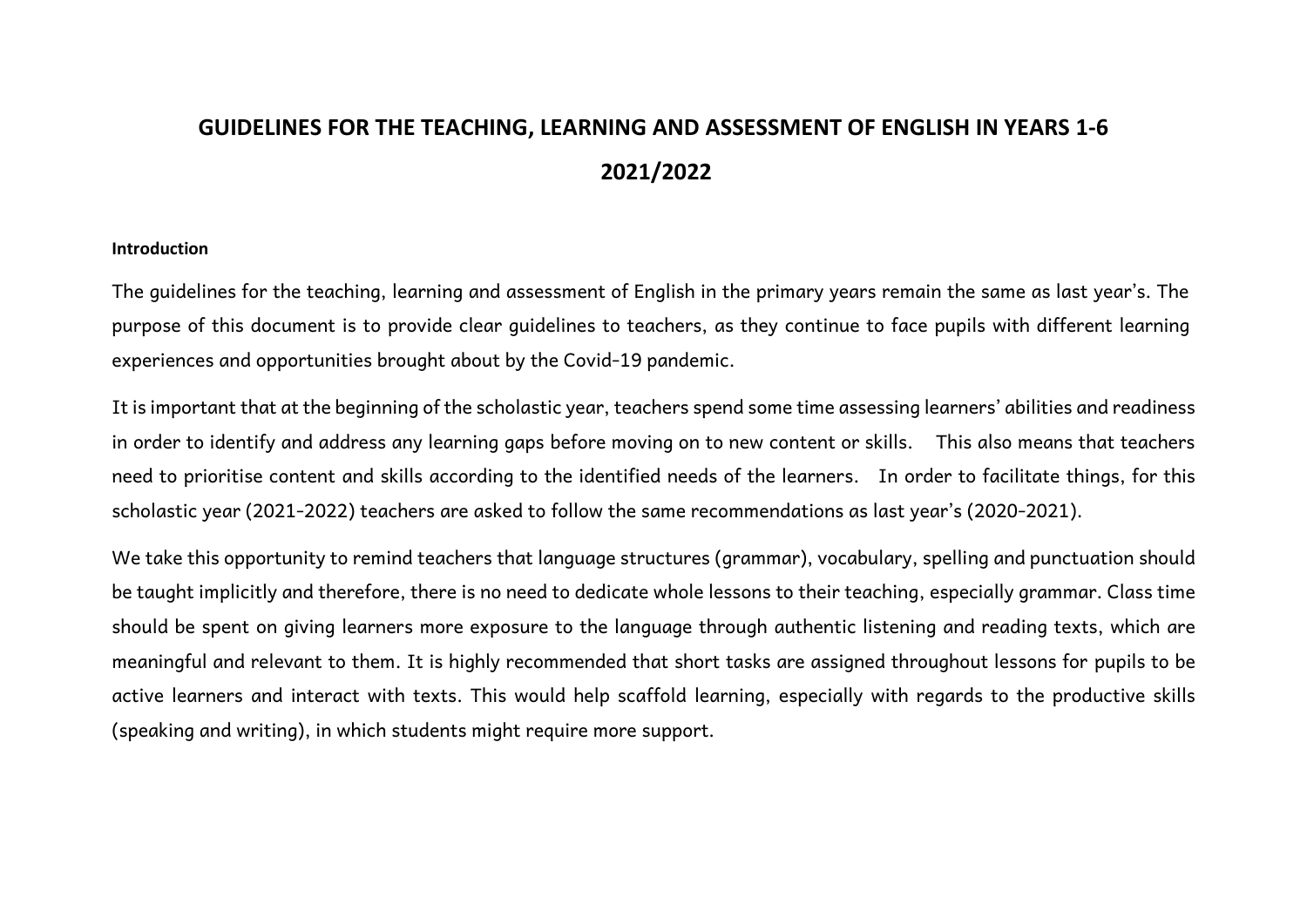# **GUIDELINES FOR THE TEACHING, LEARNING AND ASSESSMENT OF ENGLISH IN YEARS 1-6 2021/2022**

#### **Introduction**

The guidelines for the teaching, learning and assessment of English in the primary years remain the same as last year's. The purpose of this document is to provide clear guidelines to teachers, as they continue to face pupils with different learning experiences and opportunities brought about by the Covid-19 pandemic.

It is important that at the beginning of the scholastic year, teachers spend some time assessing learners' abilities and readiness in order to identify and address any learning gaps before moving on to new content or skills. This also means that teachers need to prioritise content and skills according to the identified needs of the learners. In order to facilitate things, for this scholastic year (2021-2022) teachers are asked to follow the same recommendations as last year's (2020-2021).

We take this opportunity to remind teachers that language structures (grammar), vocabulary, spelling and punctuation should be taught implicitly and therefore, there is no need to dedicate whole lessons to their teaching, especially grammar. Class time should be spent on giving learners more exposure to the language through authentic listening and reading texts, which are meaningful and relevant to them. It is highly recommended that short tasks are assigned throughout lessons for pupils to be active learners and interact with texts. This would help scaffold learning, especially with regards to the productive skills (speaking and writing), in which students might require more support.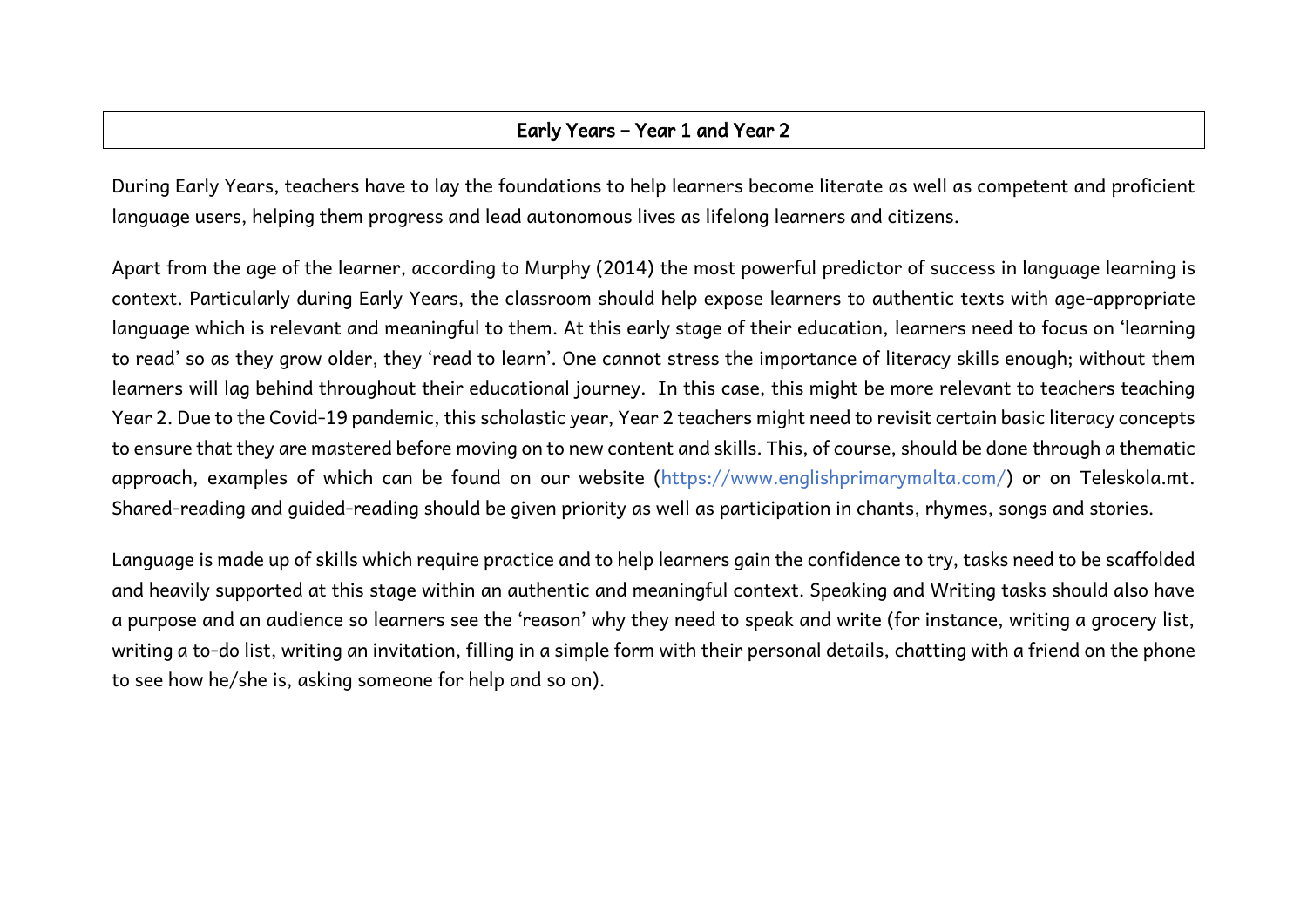### Early Years – Year 1 and Year 2

During Early Years, teachers have to lay the foundations to help learners become literate as well as competent and proficient language users, helping them progress and lead autonomous lives as lifelong learners and citizens.

Apart from the age of the learner, according to Murphy (2014) the most powerful predictor of success in language learning is context. Particularly during Early Years, the classroom should help expose learners to authentic texts with age-appropriate language which is relevant and meaningful to them. At this early stage of their education, learners need to focus on 'learning to read' so as they grow older, they 'read to learn'. One cannot stress the importance of literacy skills enough; without them learners will lag behind throughout their educational journey. In this case, this might be more relevant to teachers teaching Year 2. Due to the Covid-19 pandemic, this scholastic year, Year 2 teachers might need to revisit certain basic literacy concepts to ensure that they are mastered before moving on to new content and skills. This, of course, should be done through a thematic approach, examples of which can be found on our website (https://www.englishprimarymalta.com/) or on Teleskola.mt. Shared-reading and guided-reading should be given priority as well as participation in chants, rhymes, songs and stories.

Language is made up of skills which require practice and to help learners gain the confidence to try, tasks need to be scaffolded and heavily supported at this stage within an authentic and meaningful context. Speaking and Writing tasks should also have a purpose and an audience so learners see the 'reason' why they need to speak and write (for instance, writing a grocery list, writing a to-do list, writing an invitation, filling in a simple form with their personal details, chatting with a friend on the phone to see how he/she is, asking someone for help and so on).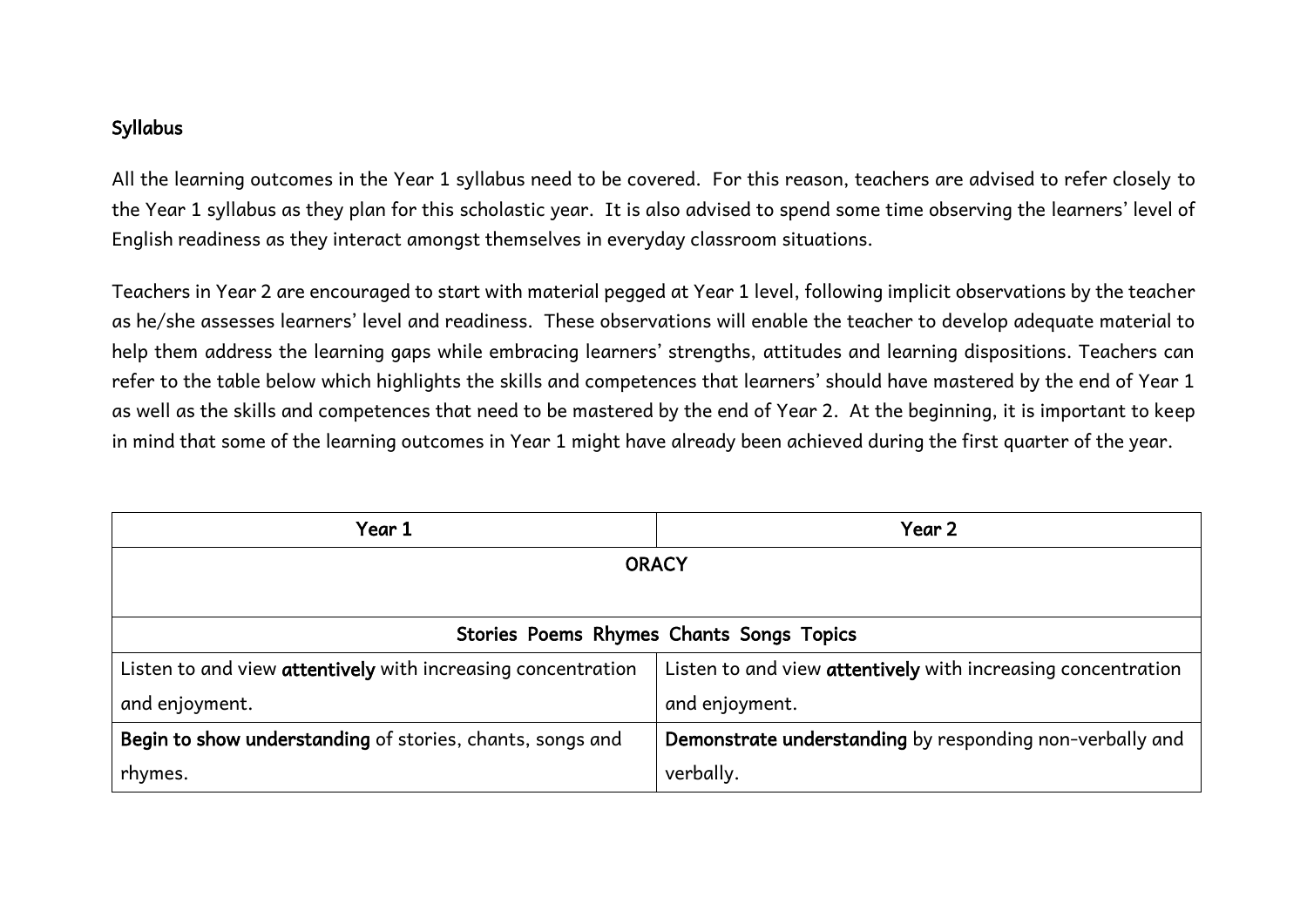#### Syllabus

All the learning outcomes in the Year 1 syllabus need to be covered. For this reason, teachers are advised to refer closely to the Year 1 syllabus as they plan for this scholastic year. It is also advised to spend some time observing the learners' level of English readiness as they interact amongst themselves in everyday classroom situations.

Teachers in Year 2 are encouraged to start with material pegged at Year 1 level, following implicit observations by the teacher as he/she assesses learners' level and readiness. These observations will enable the teacher to develop adequate material to help them address the learning gaps while embracing learners' strengths, attitudes and learning dispositions. Teachers can refer to the table below which highlights the skills and competences that learners' should have mastered by the end of Year 1 as well as the skills and competences that need to be mastered by the end of Year 2. At the beginning, it is important to keep in mind that some of the learning outcomes in Year 1 might have already been achieved during the first quarter of the year.

| Year 1                                                       | Year 2                                                       |  |
|--------------------------------------------------------------|--------------------------------------------------------------|--|
| <b>ORACY</b>                                                 |                                                              |  |
|                                                              |                                                              |  |
| Stories Poems Rhymes Chants Songs Topics                     |                                                              |  |
| Listen to and view attentively with increasing concentration | Listen to and view attentively with increasing concentration |  |
| and enjoyment.                                               | and enjoyment.                                               |  |
| Begin to show understanding of stories, chants, songs and    | Demonstrate understanding by responding non-verbally and     |  |
| rhymes.                                                      | verbally.                                                    |  |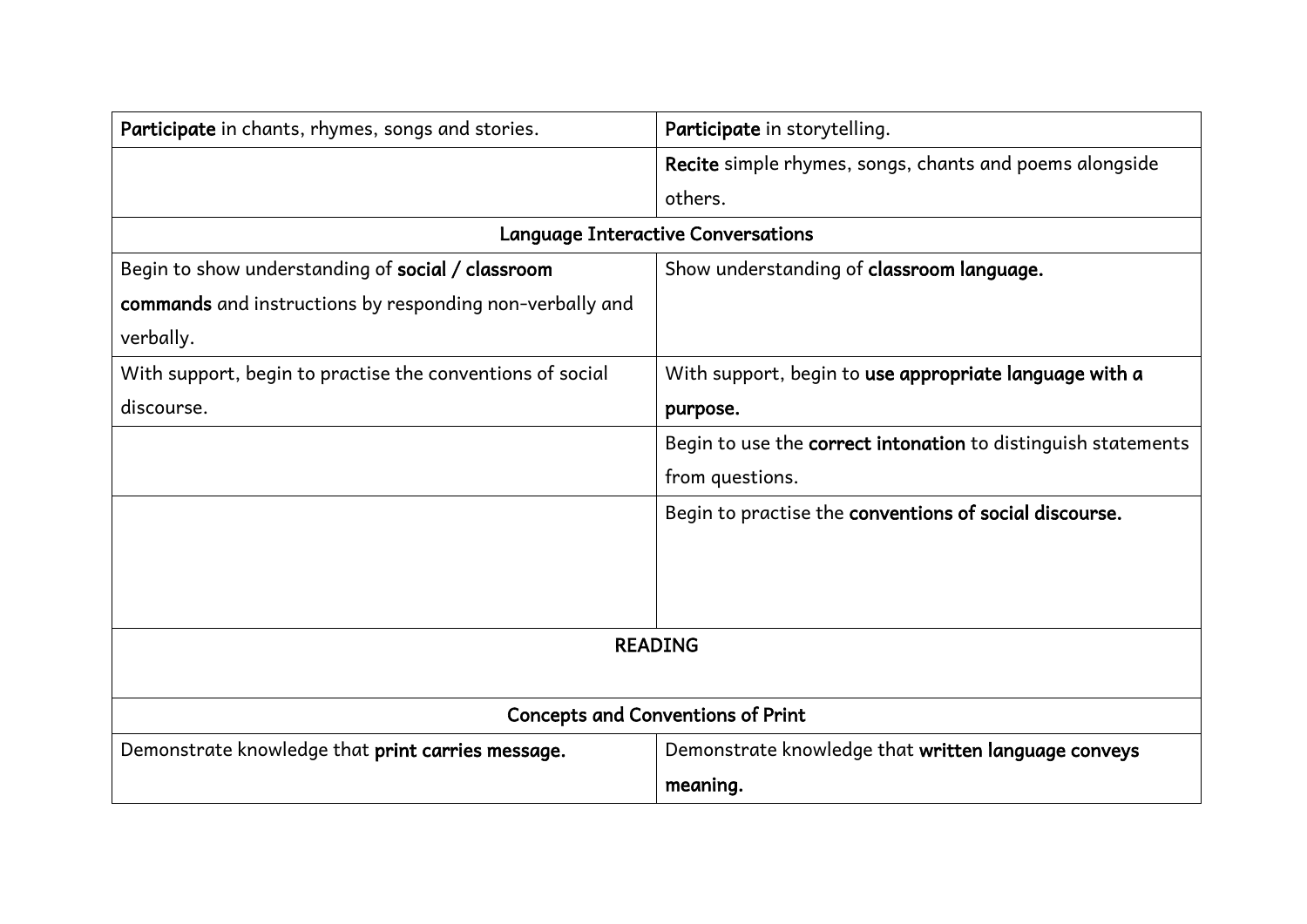| Participate in chants, rhymes, songs and stories.<br>Participate in storytelling. |                                                               |  |
|-----------------------------------------------------------------------------------|---------------------------------------------------------------|--|
|                                                                                   | Recite simple rhymes, songs, chants and poems alongside       |  |
|                                                                                   | others.                                                       |  |
|                                                                                   | <b>Language Interactive Conversations</b>                     |  |
| Begin to show understanding of social / classroom                                 | Show understanding of classroom language.                     |  |
| commands and instructions by responding non-verbally and                          |                                                               |  |
| verbally.                                                                         |                                                               |  |
| With support, begin to practise the conventions of social                         | With support, begin to use appropriate language with a        |  |
| discourse.                                                                        | purpose.                                                      |  |
|                                                                                   | Begin to use the correct intonation to distinguish statements |  |
|                                                                                   | from questions.                                               |  |
|                                                                                   | Begin to practise the conventions of social discourse.        |  |
|                                                                                   |                                                               |  |
|                                                                                   |                                                               |  |
|                                                                                   |                                                               |  |
|                                                                                   | <b>READING</b>                                                |  |
|                                                                                   |                                                               |  |
| <b>Concepts and Conventions of Print</b>                                          |                                                               |  |
| Demonstrate knowledge that print carries message.                                 | Demonstrate knowledge that written language conveys           |  |
|                                                                                   | meaning.                                                      |  |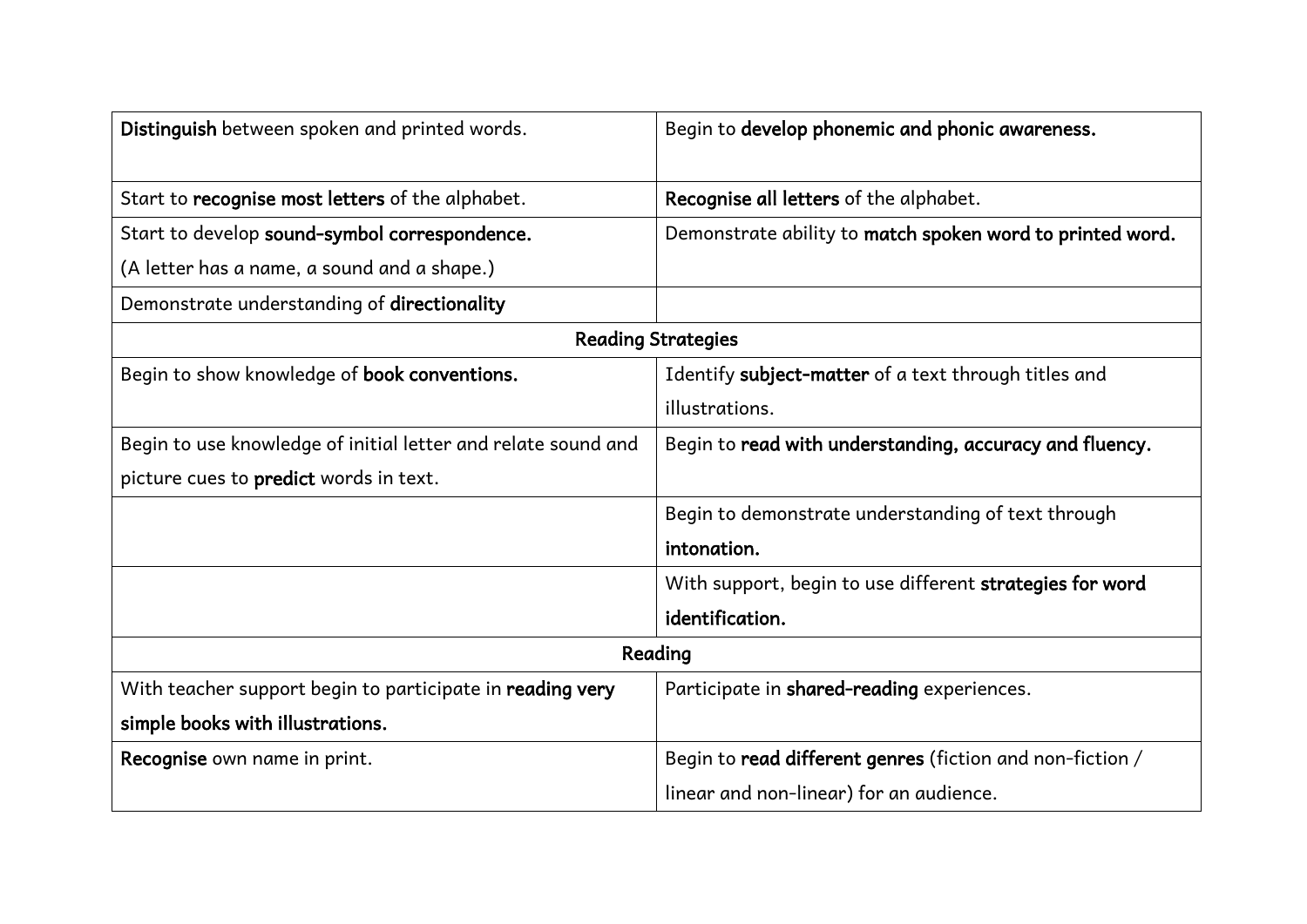| Distinguish between spoken and printed words.                 | Begin to develop phonemic and phonic awareness.           |
|---------------------------------------------------------------|-----------------------------------------------------------|
|                                                               |                                                           |
| Start to recognise most letters of the alphabet.              | Recognise all letters of the alphabet.                    |
| Start to develop sound-symbol correspondence.                 | Demonstrate ability to match spoken word to printed word. |
| (A letter has a name, a sound and a shape.)                   |                                                           |
| Demonstrate understanding of directionality                   |                                                           |
|                                                               | <b>Reading Strategies</b>                                 |
| Begin to show knowledge of book conventions.                  | Identify subject-matter of a text through titles and      |
|                                                               | illustrations.                                            |
| Begin to use knowledge of initial letter and relate sound and | Begin to read with understanding, accuracy and fluency.   |
| picture cues to predict words in text.                        |                                                           |
|                                                               | Begin to demonstrate understanding of text through        |
|                                                               | intonation.                                               |
|                                                               | With support, begin to use different strategies for word  |
|                                                               | identification.                                           |
|                                                               | Reading                                                   |
| With teacher support begin to participate in reading very     | Participate in shared-reading experiences.                |
| simple books with illustrations.                              |                                                           |
| Recognise own name in print.                                  | Begin to read different genres (fiction and non-fiction / |
|                                                               | linear and non-linear) for an audience.                   |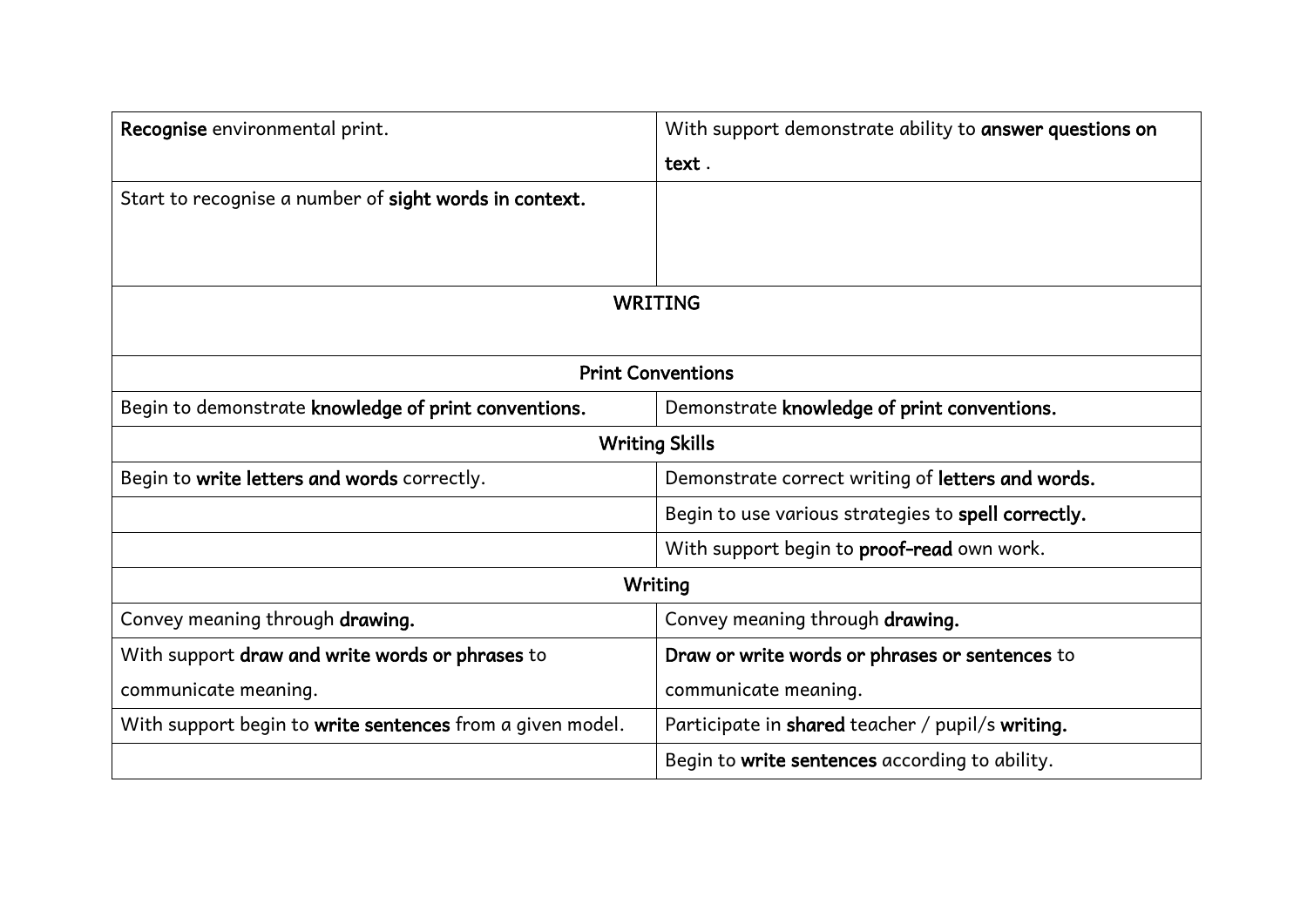| Recognise environmental print.                            | With support demonstrate ability to answer questions on |  |
|-----------------------------------------------------------|---------------------------------------------------------|--|
|                                                           | text.                                                   |  |
| Start to recognise a number of sight words in context.    |                                                         |  |
|                                                           |                                                         |  |
|                                                           |                                                         |  |
|                                                           | <b>WRITING</b>                                          |  |
|                                                           |                                                         |  |
|                                                           | <b>Print Conventions</b>                                |  |
| Begin to demonstrate knowledge of print conventions.      | Demonstrate knowledge of print conventions.             |  |
| <b>Writing Skills</b>                                     |                                                         |  |
| Begin to write letters and words correctly.               | Demonstrate correct writing of letters and words.       |  |
|                                                           | Begin to use various strategies to spell correctly.     |  |
|                                                           | With support begin to proof-read own work.              |  |
|                                                           | <b>Writing</b>                                          |  |
| Convey meaning through drawing.                           | Convey meaning through drawing.                         |  |
| With support draw and write words or phrases to           | Draw or write words or phrases or sentences to          |  |
| communicate meaning.                                      | communicate meaning.                                    |  |
| With support begin to write sentences from a given model. | Participate in shared teacher / pupil/s writing.        |  |
|                                                           | Begin to write sentences according to ability.          |  |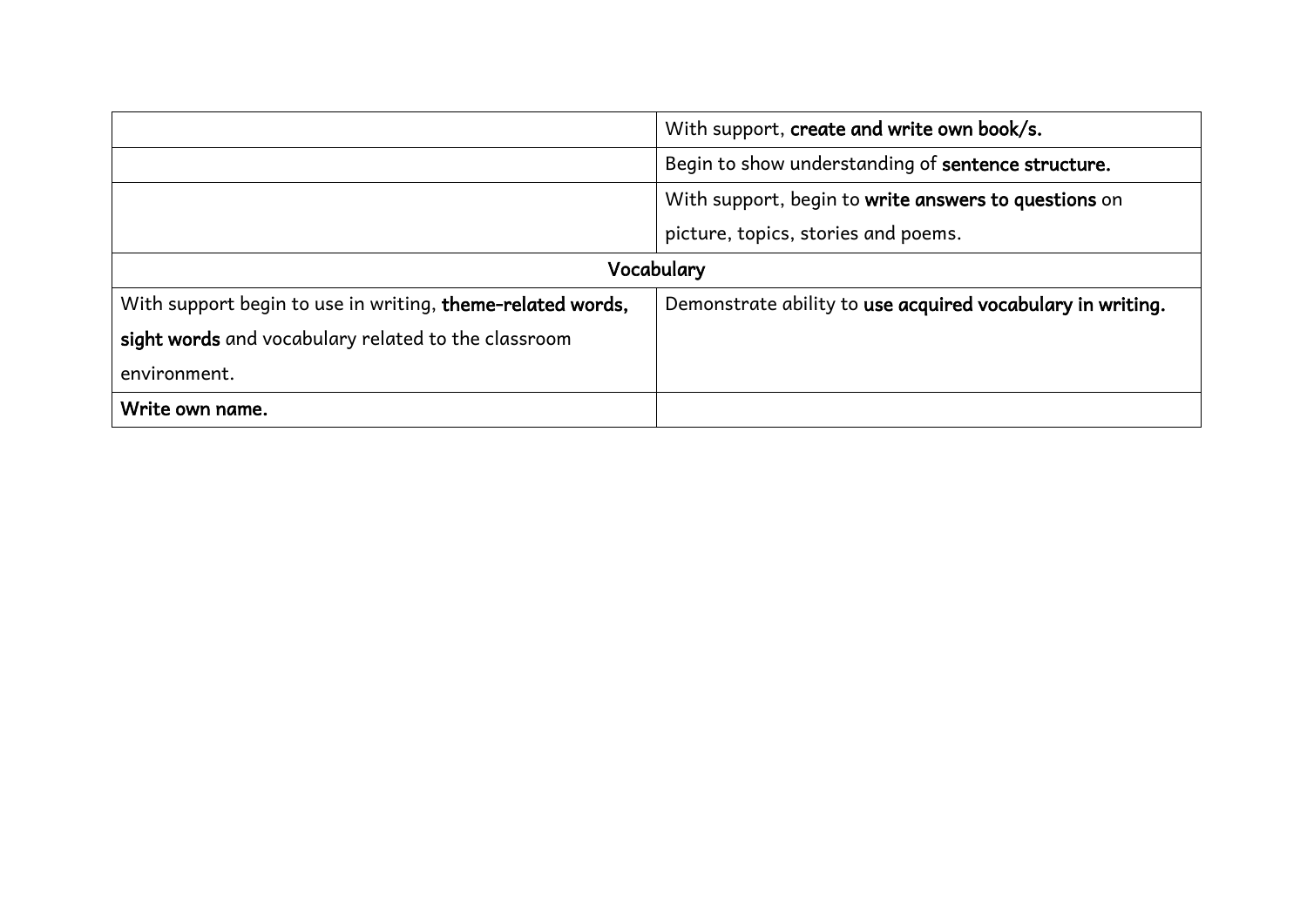|                                                            | With support, create and write own book/s.                 |  |
|------------------------------------------------------------|------------------------------------------------------------|--|
|                                                            | Begin to show understanding of sentence structure.         |  |
|                                                            | With support, begin to write answers to questions on       |  |
|                                                            | picture, topics, stories and poems.                        |  |
| Vocabulary                                                 |                                                            |  |
| With support begin to use in writing, theme-related words, | Demonstrate ability to use acquired vocabulary in writing. |  |
| sight words and vocabulary related to the classroom        |                                                            |  |
| environment.                                               |                                                            |  |
| Write own name.                                            |                                                            |  |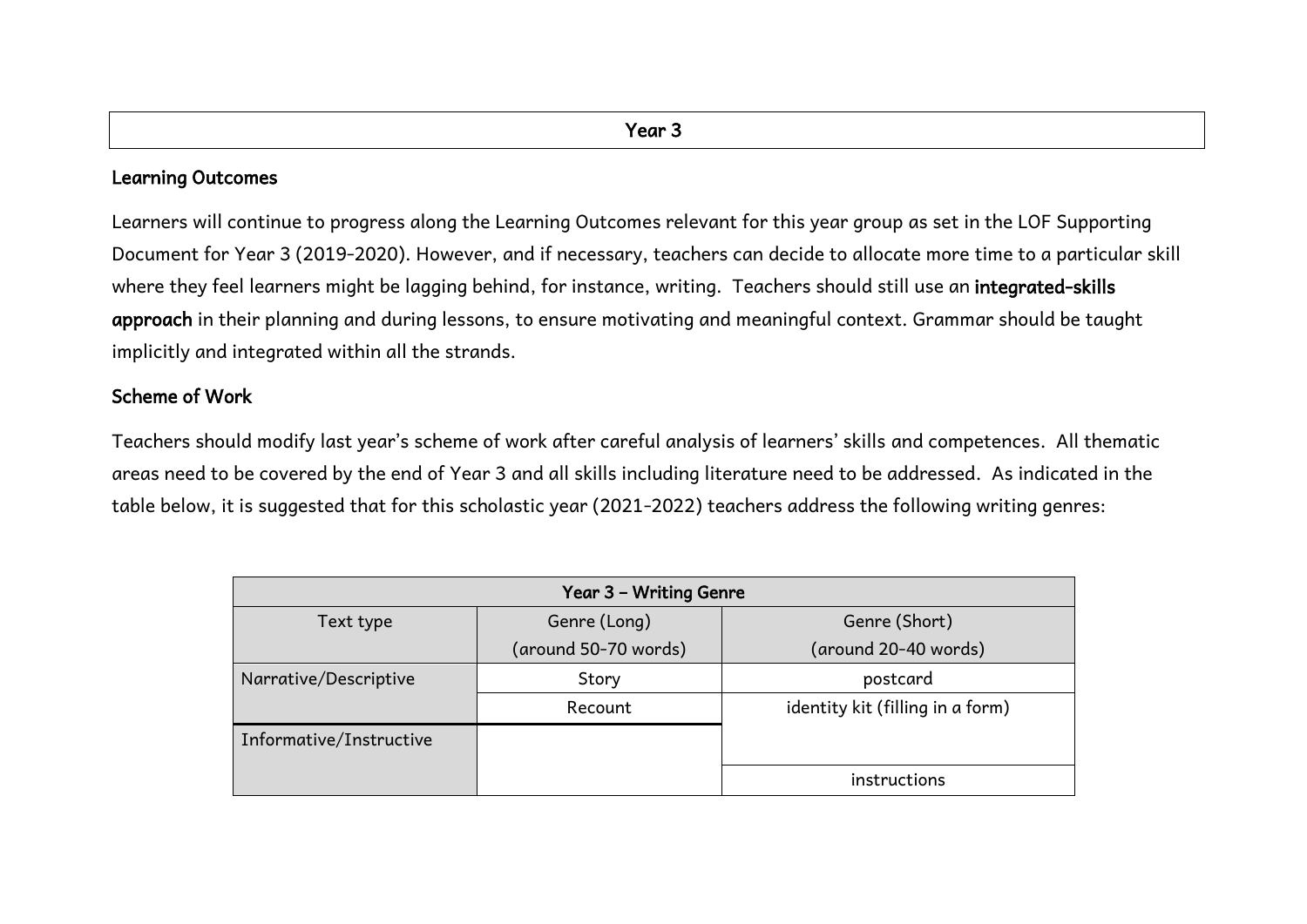#### Learning Outcomes

Learners will continue to progress along the Learning Outcomes relevant for this year group as set in the LOF Supporting Document for Year 3 (2019-2020). However, and if necessary, teachers can decide to allocate more time to a particular skill where they feel learners might be lagging behind, for instance, writing. Teachers should still use an integrated-skills approach in their planning and during lessons, to ensure motivating and meaningful context. Grammar should be taught implicitly and integrated within all the strands.

# Scheme of Work

Teachers should modify last year's scheme of work after careful analysis of learners' skills and competences. All thematic areas need to be covered by the end of Year 3 and all skills including literature need to be addressed. As indicated in the table below, it is suggested that for this scholastic year (2021-2022) teachers address the following writing genres:

| Year 3 - Writing Genre  |                      |                                  |  |
|-------------------------|----------------------|----------------------------------|--|
| Text type               | Genre (Long)         | Genre (Short)                    |  |
|                         | (around 50-70 words) | (around 20-40 words)             |  |
| Narrative/Descriptive   | Story                | postcard                         |  |
|                         | Recount              | identity kit (filling in a form) |  |
| Informative/Instructive |                      |                                  |  |
|                         |                      | instructions                     |  |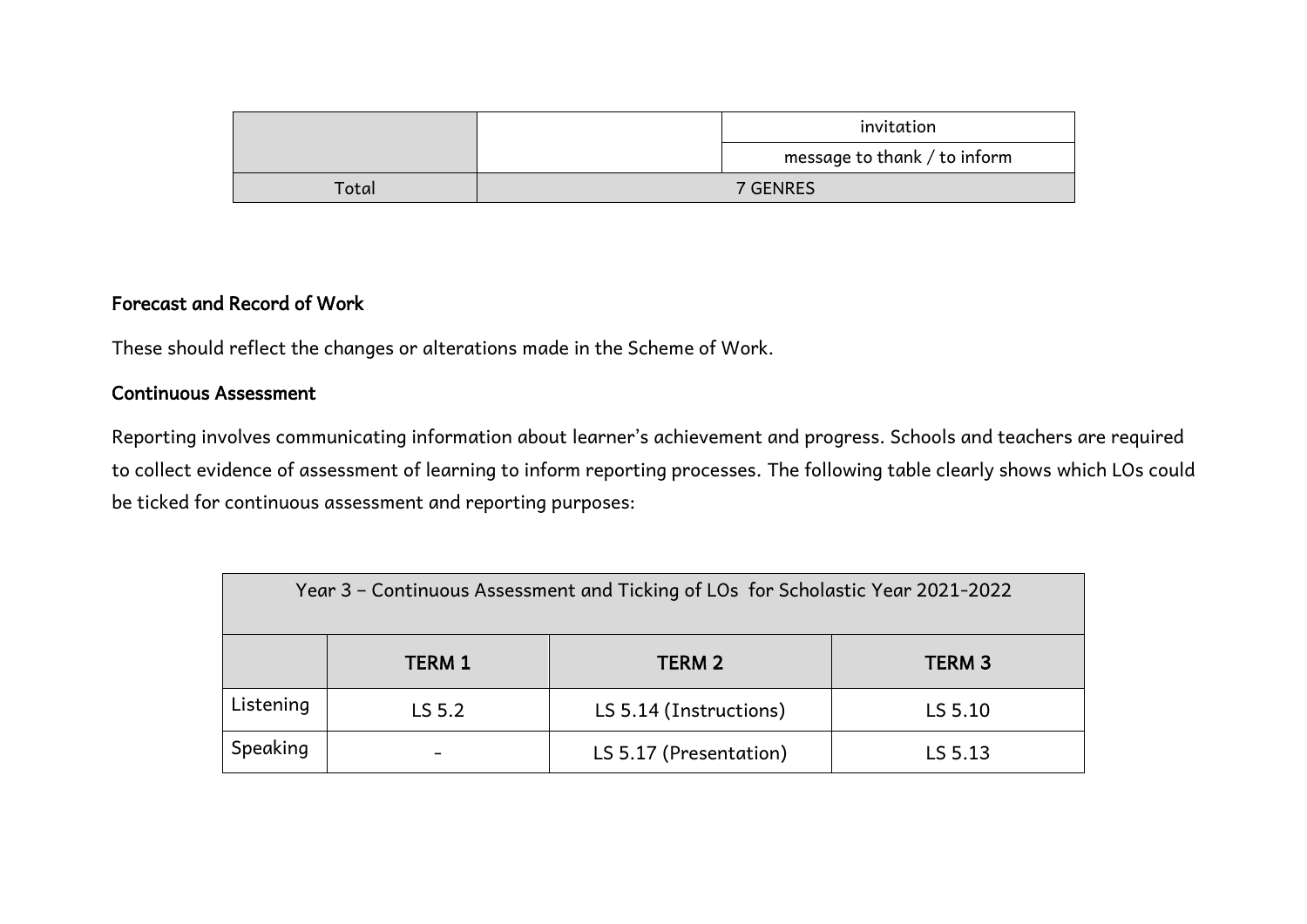|       | invitation                   |  |  |
|-------|------------------------------|--|--|
|       | message to thank / to inform |  |  |
| Total | 7 GENRES                     |  |  |

# Forecast and Record of Work

These should reflect the changes or alterations made in the Scheme of Work.

# Continuous Assessment

Reporting involves communicating information about learner's achievement and progress. Schools and teachers are required to collect evidence of assessment of learning to inform reporting processes. The following table clearly shows which LOs could be ticked for continuous assessment and reporting purposes:

| Year 3 – Continuous Assessment and Ticking of LOs for Scholastic Year 2021-2022 |               |                        |                   |
|---------------------------------------------------------------------------------|---------------|------------------------|-------------------|
|                                                                                 | <b>TERM 1</b> | TERM <sub>2</sub>      | TERM <sub>3</sub> |
| Listening                                                                       | LS 5.2        | LS 5.14 (Instructions) | LS 5.10           |
| Speaking                                                                        |               | LS 5.17 (Presentation) | LS 5.13           |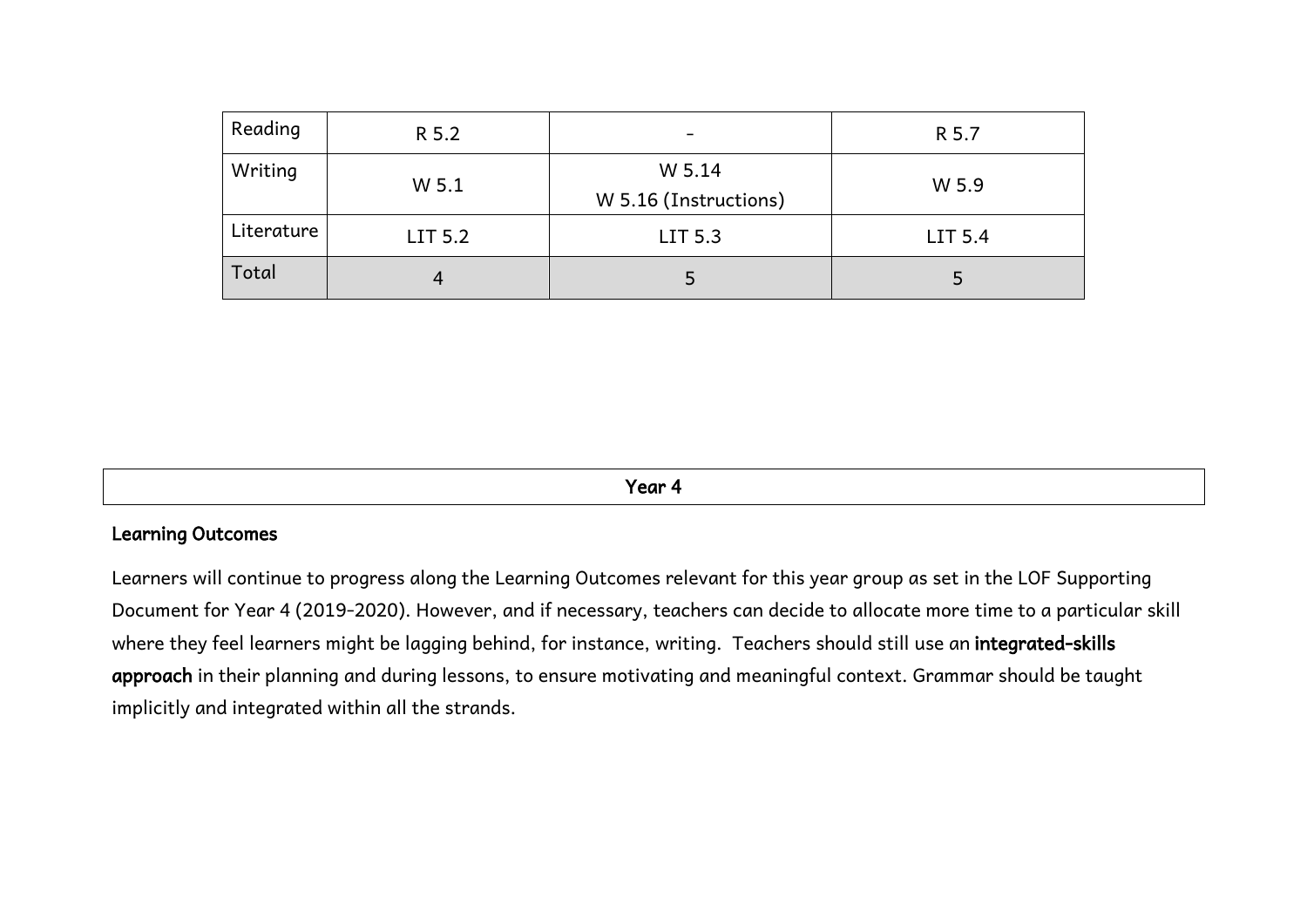| Reading    | R 5.2   | $\overline{\phantom{0}}$        | R 5.7   |
|------------|---------|---------------------------------|---------|
| Writing    | W 5.1   | W 5.14<br>W 5.16 (Instructions) | W 5.9   |
| Literature | LIT 5.2 | LIT 5.3                         | LIT 5.4 |
| Total      | 4       | 5                               | 5       |

Year 4

#### Learning Outcomes

Learners will continue to progress along the Learning Outcomes relevant for this year group as set in the LOF Supporting Document for Year 4 (2019-2020). However, and if necessary, teachers can decide to allocate more time to a particular skill where they feel learners might be lagging behind, for instance, writing. Teachers should still use an integrated-skills approach in their planning and during lessons, to ensure motivating and meaningful context. Grammar should be taught implicitly and integrated within all the strands.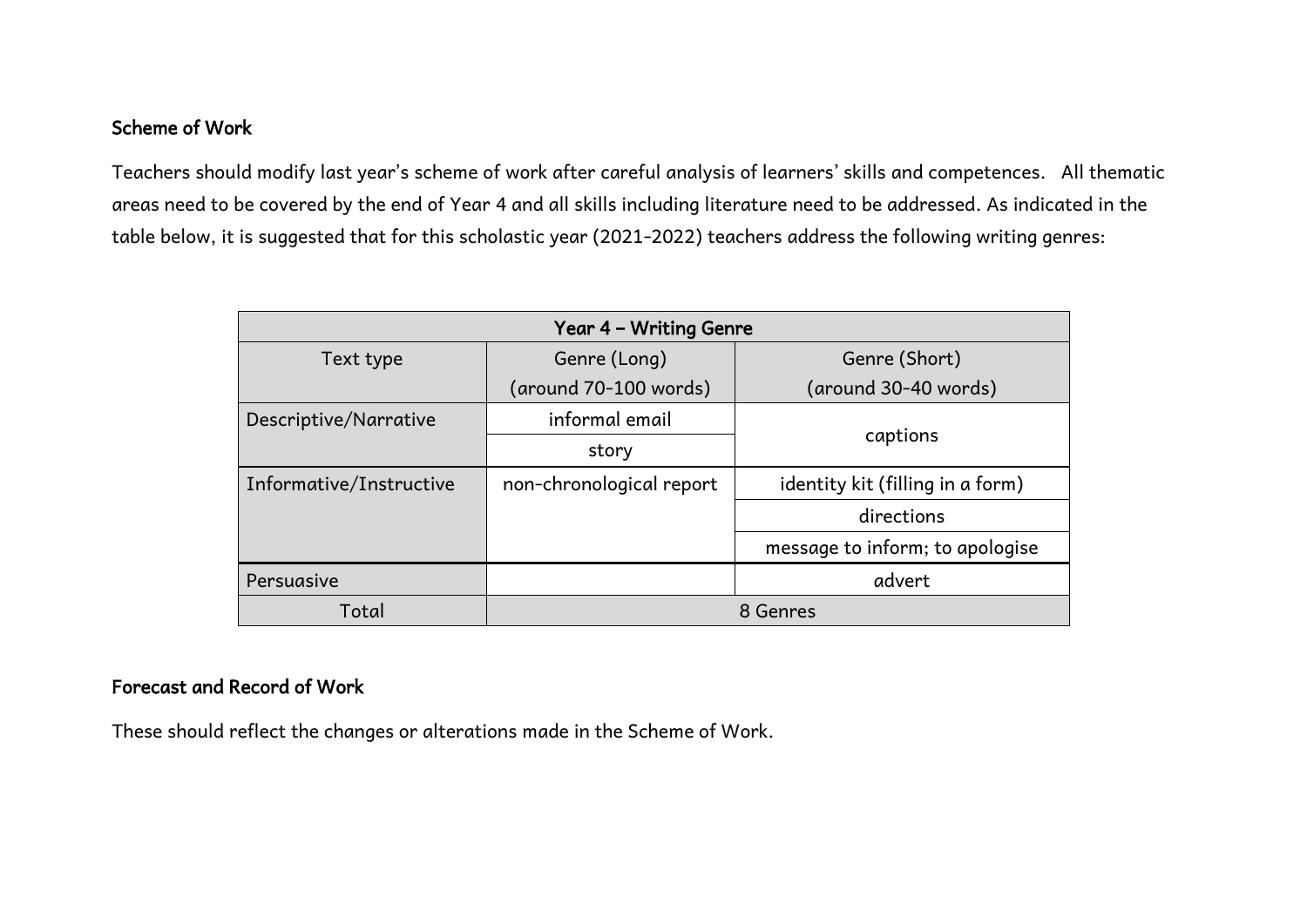# Scheme of Work

Teachers should modify last year's scheme of work after careful analysis of learners' skills and competences. All thematic areas need to be covered by the end of Year 4 and all skills including literature need to be addressed. As indicated in the table below, it is suggested that for this scholastic year (2021-2022) teachers address the following writing genres:

| Year 4 - Writing Genre  |                          |                                  |  |
|-------------------------|--------------------------|----------------------------------|--|
| Text type               | Genre (Long)             | Genre (Short)                    |  |
|                         | (around 70-100 words)    | (around 30-40 words)             |  |
| Descriptive/Narrative   | informal email           |                                  |  |
|                         | story                    | captions                         |  |
| Informative/Instructive | non-chronological report | identity kit (filling in a form) |  |
|                         |                          | directions                       |  |
|                         |                          | message to inform; to apologise  |  |
| Persuasive              |                          | advert                           |  |
| Total                   |                          | 8 Genres                         |  |

# Forecast and Record of Work

These should reflect the changes or alterations made in the Scheme of Work.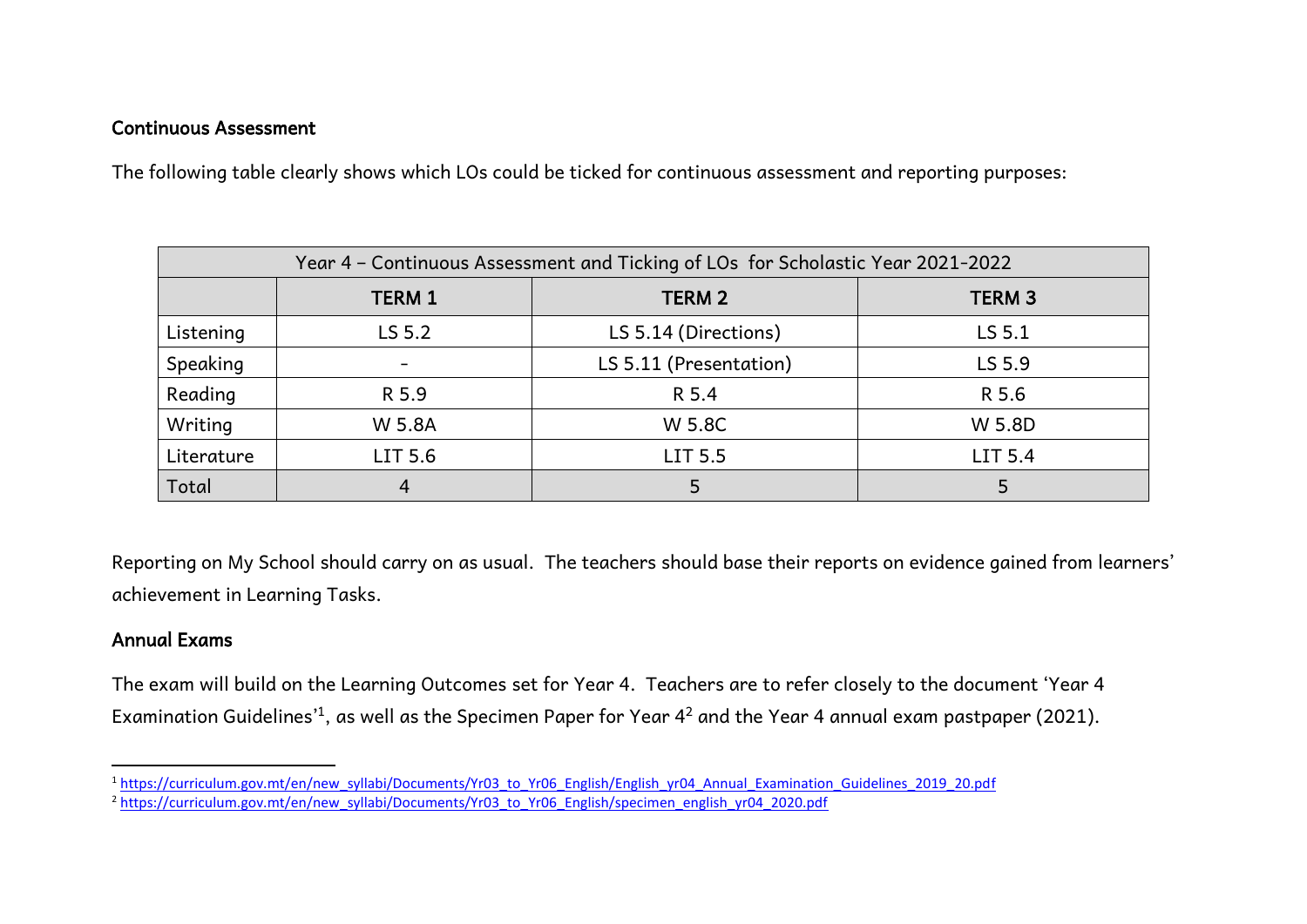#### Continuous Assessment

The following table clearly shows which LOs could be ticked for continuous assessment and reporting purposes:

| Year 4 - Continuous Assessment and Ticking of LOs for Scholastic Year 2021-2022 |               |                        |               |
|---------------------------------------------------------------------------------|---------------|------------------------|---------------|
|                                                                                 | <b>TERM 1</b> | <b>TERM 2</b>          | <b>TERM 3</b> |
| Listening                                                                       | LS 5.2        | LS 5.14 (Directions)   | LS 5.1        |
| Speaking                                                                        |               | LS 5.11 (Presentation) | LS 5.9        |
| Reading                                                                         | R 5.9         | R 5.4                  | R 5.6         |
| Writing                                                                         | W 5.8A        | W 5.8C                 | W 5.8D        |
| Literature                                                                      | LIT 5.6       | LIT 5.5                | LIT 5.4       |
| Total                                                                           | 4             |                        |               |

Reporting on My School should carry on as usual. The teachers should base their reports on evidence gained from learners' achievement in Learning Tasks.

#### Annual Exams

 $\overline{a}$ 

The exam will build on the Learning Outcomes set for Year 4. Teachers are to refer closely to the document 'Year 4 Examination Guidelines' $^1$ , as well as the Specimen Paper for Year 4 $^2$  and the Year 4 annual exam pastpaper (2021).

<sup>1</sup> [https://curriculum.gov.mt/en/new\\_syllabi/Documents/Yr03\\_to\\_Yr06\\_English/English\\_yr04\\_Annual\\_Examination\\_Guidelines\\_2019\\_20.pdf](https://curriculum.gov.mt/en/new_syllabi/Documents/Yr03_to_Yr06_English/English_yr04_Annual_Examination_Guidelines_2019_20.pdf)

<sup>&</sup>lt;sup>2</sup> [https://curriculum.gov.mt/en/new\\_syllabi/Documents/Yr03\\_to\\_Yr06\\_English/specimen\\_english\\_yr04\\_2020.pdf](https://curriculum.gov.mt/en/new_syllabi/Documents/Yr03_to_Yr06_English/specimen_english_yr04_2020.pdf)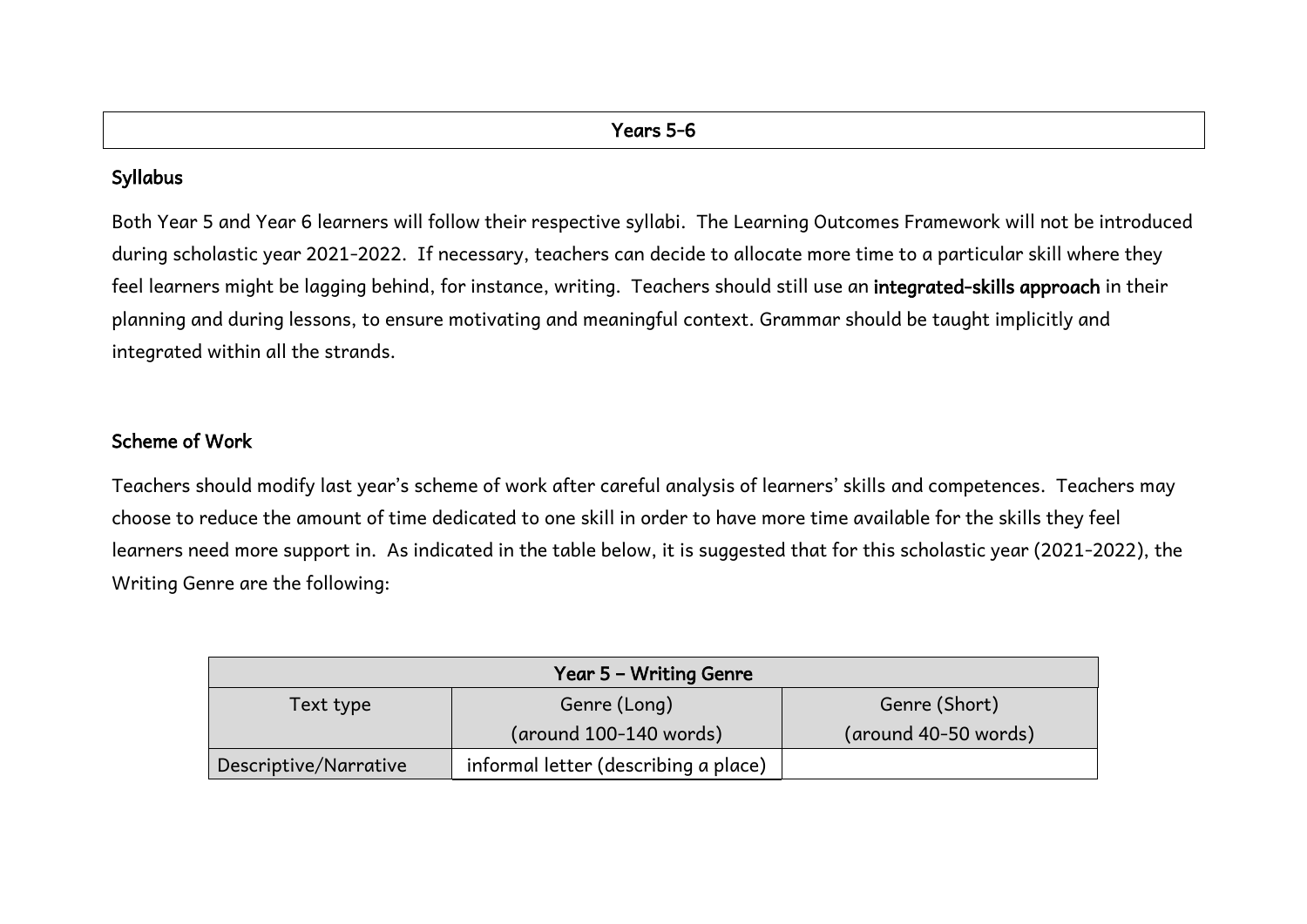# Syllabus

Both Year 5 and Year 6 learners will follow their respective syllabi. The Learning Outcomes Framework will not be introduced during scholastic year 2021-2022. If necessary, teachers can decide to allocate more time to a particular skill where they feel learners might be lagging behind, for instance, writing. Teachers should still use an integrated-skills approach in their planning and during lessons, to ensure motivating and meaningful context. Grammar should be taught implicitly and integrated within all the strands.

# Scheme of Work

Teachers should modify last year's scheme of work after careful analysis of learners' skills and competences. Teachers may choose to reduce the amount of time dedicated to one skill in order to have more time available for the skills they feel learners need more support in. As indicated in the table below, it is suggested that for this scholastic year (2021-2022), the Writing Genre are the following:

| Year 5 - Writing Genre |                                          |                      |  |  |
|------------------------|------------------------------------------|----------------------|--|--|
| Text type              | Genre (Long)                             | Genre (Short)        |  |  |
|                        | $(\text{around } 100-140 \text{ words})$ | (around 40-50 words) |  |  |
| Descriptive/Narrative  | informal letter (describing a place)     |                      |  |  |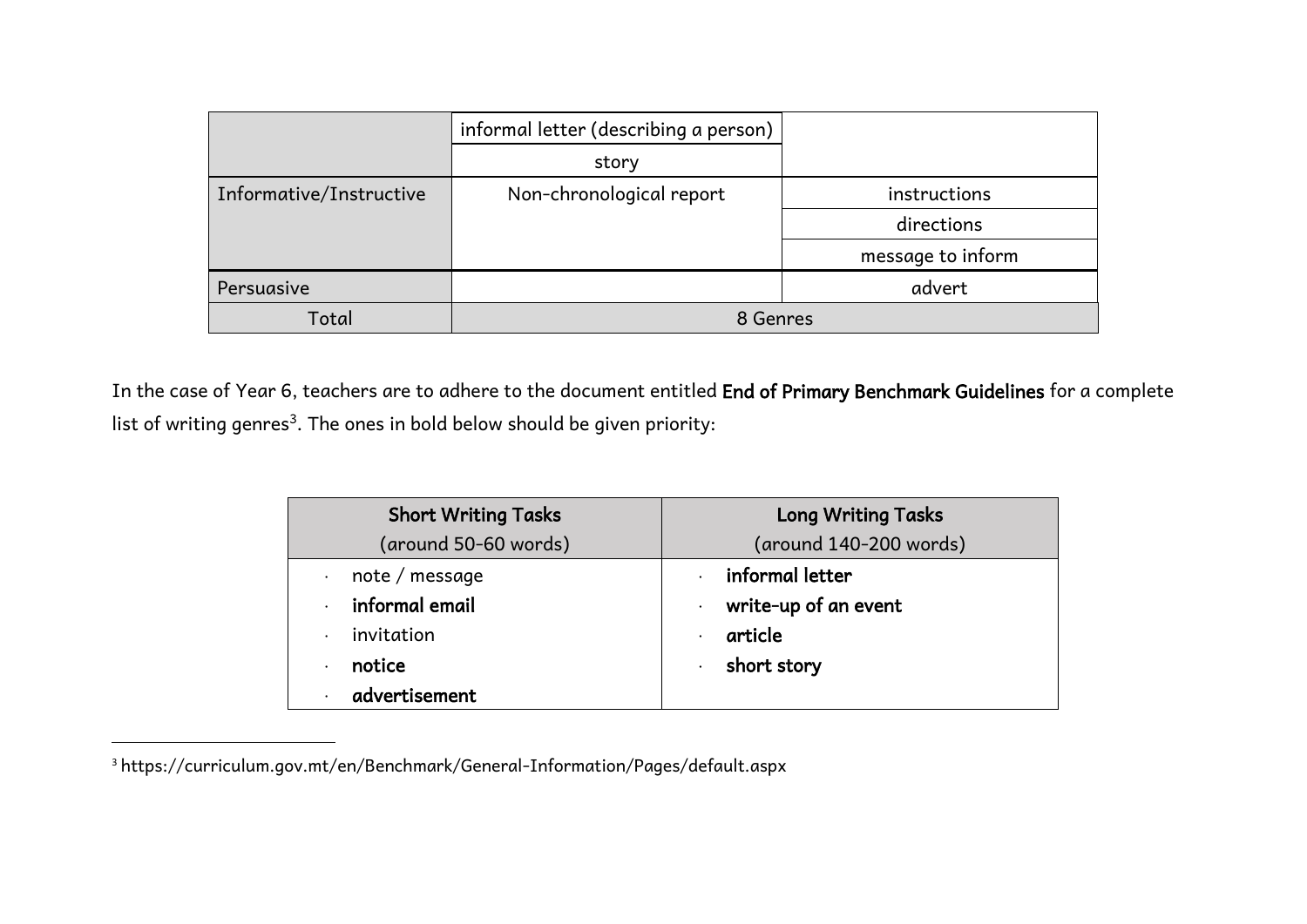|                         | informal letter (describing a person) |                   |  |  |  |
|-------------------------|---------------------------------------|-------------------|--|--|--|
|                         | story                                 |                   |  |  |  |
| Informative/Instructive | Non-chronological report              | instructions      |  |  |  |
|                         |                                       | directions        |  |  |  |
|                         |                                       | message to inform |  |  |  |
| Persuasive              |                                       | advert            |  |  |  |
| Total                   |                                       | 8 Genres          |  |  |  |

In the case of Year 6, teachers are to adhere to the document entitled End of Primary Benchmark Guidelines for a complete list of writing genres $^3$ . The ones in bold below should be given priority:

| <b>Short Writing Tasks</b>  | <b>Long Writing Tasks</b> |  |  |  |  |
|-----------------------------|---------------------------|--|--|--|--|
| (around 50-60 words)        | (around 140-200 words)    |  |  |  |  |
| note / message<br>$\bullet$ | informal letter           |  |  |  |  |
| informal email              | write-up of an event      |  |  |  |  |
| invitation<br>$\bullet$     | article                   |  |  |  |  |
| notice<br>$\bullet$         | short story               |  |  |  |  |
| advertisement               |                           |  |  |  |  |

<sup>3</sup> <https://curriculum.gov.mt/en/Benchmark/General-Information/Pages/default.aspx>

 $\overline{a}$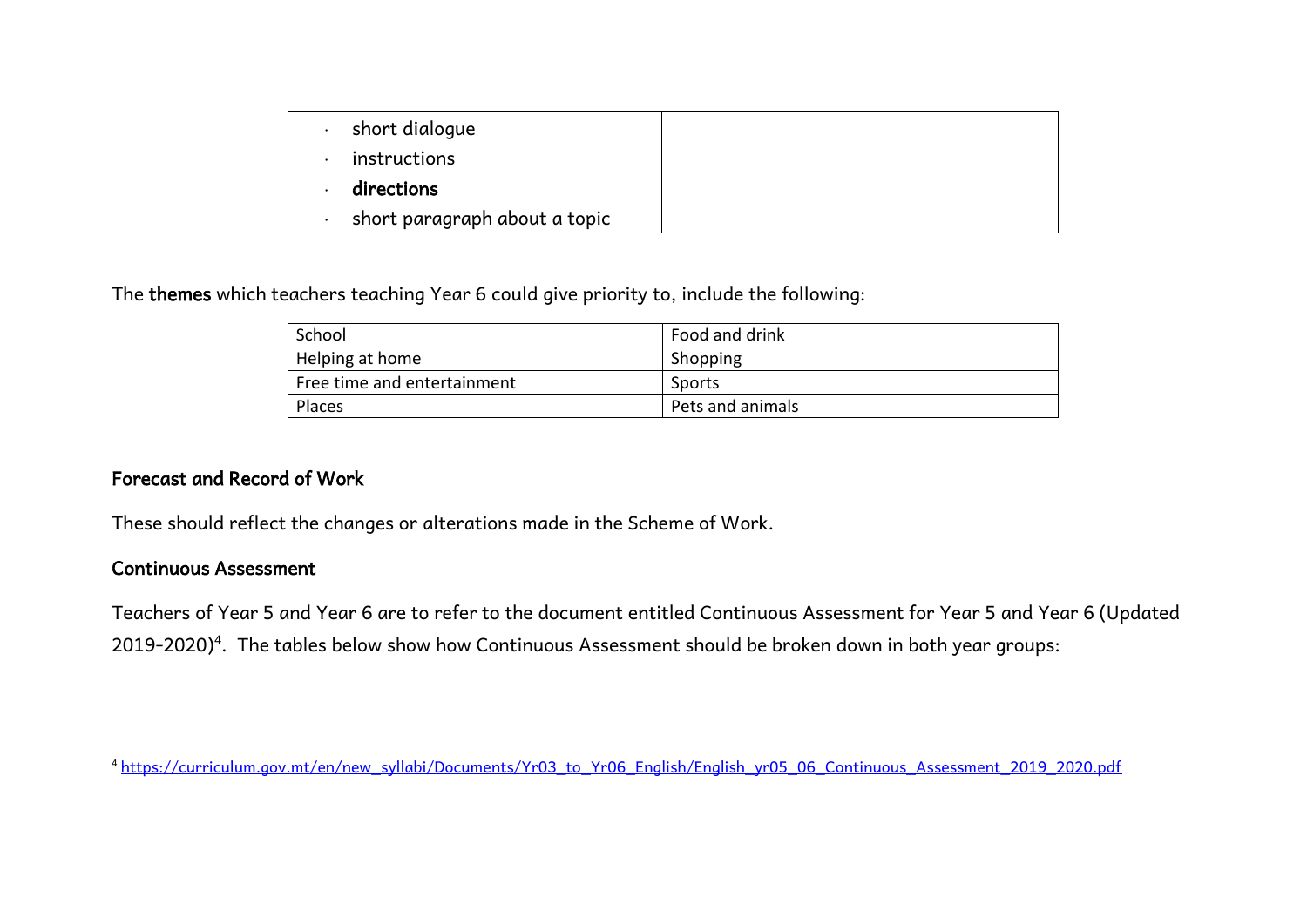| short dialogue                |  |
|-------------------------------|--|
| instructions                  |  |
| directions                    |  |
| short paragraph about a topic |  |

The themes which teachers teaching Year 6 could give priority to, include the following:

| School                      | Food and drink   |
|-----------------------------|------------------|
| Helping at home             | Shopping         |
| Free time and entertainment | Sports           |
| Places                      | Pets and animals |

# Forecast and Record of Work

These should reflect the changes or alterations made in the Scheme of Work.

#### Continuous Assessment

 $\overline{a}$ 

Teachers of Year 5 and Year 6 are to refer to the document entitled Continuous Assessment for Year 5 and Year 6 (Updated 2019-2020) $^4$ . The tables below show how Continuous Assessment should be broken down in both year groups:

<sup>4</sup> [https://curriculum.gov.mt/en/new\\_syllabi/Documents/Yr03\\_to\\_Yr06\\_English/English\\_yr05\\_06\\_Continuous\\_Assessment\\_2019\\_2020.pdf](https://curriculum.gov.mt/en/new_syllabi/Documents/Yr03_to_Yr06_English/English_yr05_06_Continuous_Assessment_2019_2020.pdf)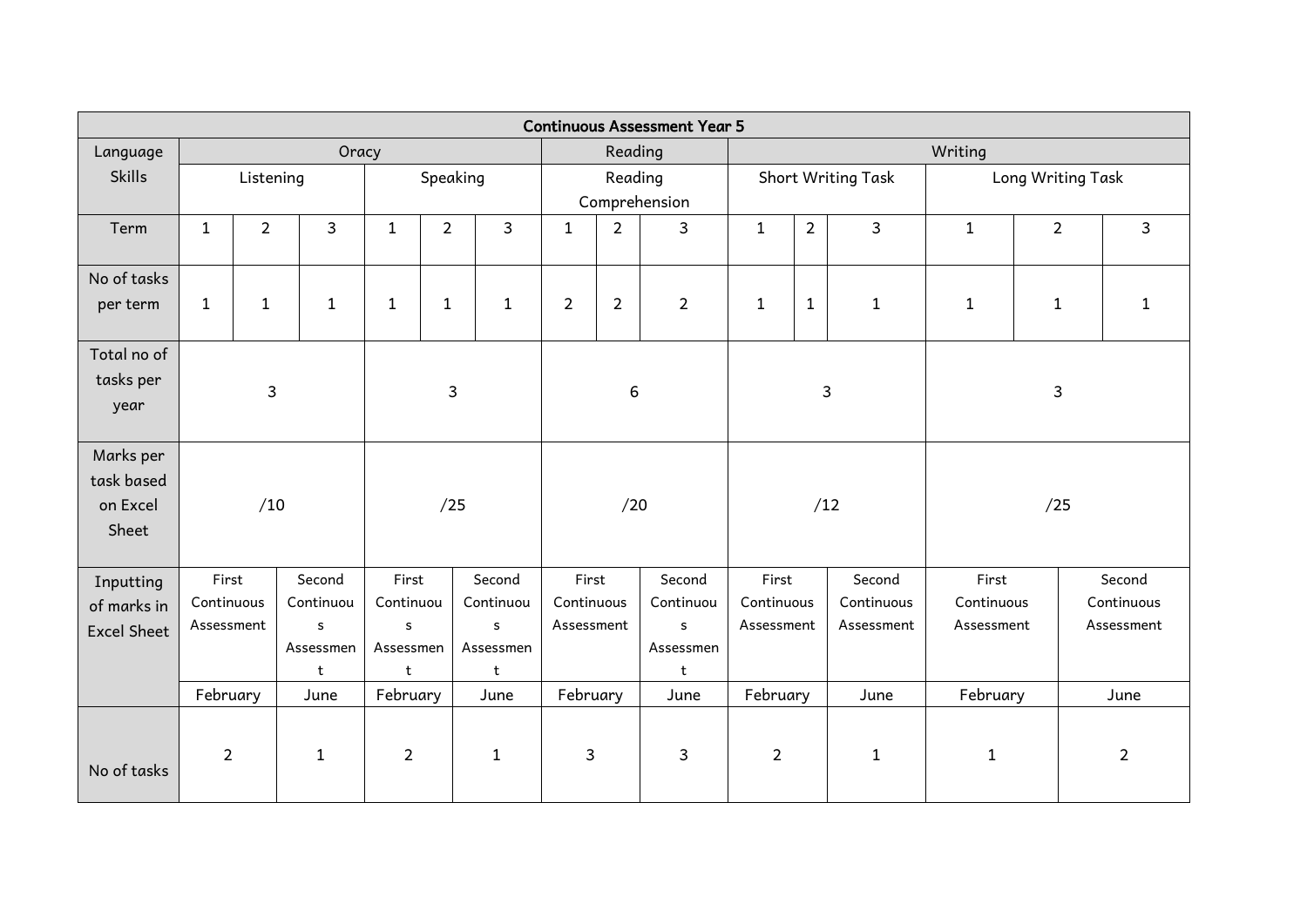| <b>Continuous Assessment Year 5</b> |                |                                     |              |                         |                |                            |                |                          |                |                          |                   |                |              |                |                |
|-------------------------------------|----------------|-------------------------------------|--------------|-------------------------|----------------|----------------------------|----------------|--------------------------|----------------|--------------------------|-------------------|----------------|--------------|----------------|----------------|
| Language                            | Oracy          |                                     |              |                         |                |                            | Reading        |                          |                | Writing                  |                   |                |              |                |                |
| <b>Skills</b>                       |                | Speaking<br>Listening               |              |                         | Reading        |                            |                | Short Writing Task       |                |                          | Long Writing Task |                |              |                |                |
|                                     |                |                                     |              |                         |                |                            | Comprehension  |                          |                |                          |                   |                |              |                |                |
| Term                                | $\mathbf{1}$   | $\overline{2}$                      | 3            | $\mathbf{1}$            | $\overline{2}$ | 3                          | $\mathbf{1}$   | $\overline{2}$           | $\mathbf{3}$   | $\mathbf{1}$             | $\overline{2}$    | $\overline{3}$ | $\mathbf{1}$ | $\overline{2}$ | 3              |
| No of tasks                         |                |                                     |              |                         |                |                            |                |                          |                |                          |                   |                |              |                |                |
| per term                            | $\mathbf{1}$   | $\mathbf{1}$                        | $\mathbf{1}$ | $\mathbf{1}$            | $\mathbf{1}$   | $\mathbf{1}$               | $\overline{2}$ | $\overline{2}$           | $\overline{2}$ | $\mathbf{1}$             | $\mathbf{1}$      | $\mathbf{1}$   | $\mathbf{1}$ | $\mathbf{1}$   | 1              |
| Total no of                         |                |                                     |              |                         |                |                            |                |                          |                |                          |                   |                |              |                |                |
| tasks per                           | 3              |                                     |              | $\mathbf{3}$            |                |                            | $\,6\,$        |                          |                | 3                        |                   |                | 3            |                |                |
| year                                |                |                                     |              |                         |                |                            |                |                          |                |                          |                   |                |              |                |                |
| Marks per                           |                |                                     |              |                         |                |                            |                |                          |                |                          |                   |                |              |                |                |
| task based                          |                |                                     |              |                         |                |                            |                |                          |                |                          |                   |                |              |                |                |
| on Excel                            | /10            |                                     |              | /25                     |                |                            | /20            |                          | /12            |                          | /25               |                |              |                |                |
| Sheet                               |                |                                     |              |                         |                |                            |                |                          |                |                          |                   |                |              |                |                |
| Inputting                           | First          |                                     | Second       | First                   |                | Second                     | First          |                          | Second         | First                    |                   | Second         | First        |                | Second         |
| of marks in                         | Continuous     |                                     | Continuou    | Continuou               |                | Continuou                  | Continuous     |                          | Continuou      | Continuous               |                   | Continuous     | Continuous   |                | Continuous     |
| <b>Excel Sheet</b>                  | Assessment     |                                     | $\sf s$      | $\mathsf{s}$<br>$\sf s$ |                | Assessment<br>$\mathsf{s}$ |                | Assessment<br>Assessment |                | Assessment<br>Assessment |                   |                |              |                |                |
|                                     |                | Assessmen<br>Assessmen<br>Assessmen |              | Assessmen               |                |                            |                |                          |                |                          |                   |                |              |                |                |
|                                     |                |                                     | t            | t                       |                | t                          |                |                          | t              |                          |                   |                |              |                |                |
|                                     | February       |                                     | June         | February                |                | June                       | February       |                          | June           | February                 |                   | June           | February     |                | June           |
|                                     |                |                                     |              |                         |                |                            |                |                          |                |                          |                   |                |              |                |                |
|                                     | $\overline{2}$ |                                     | $\mathbf{1}$ | $\overline{2}$          |                | $\mathbf{1}$               | $\mathsf 3$    |                          | 3              | $\overline{2}$           |                   | $1\,$          | $\mathbf 1$  |                | $\overline{2}$ |
| No of tasks                         |                |                                     |              |                         |                |                            |                |                          |                |                          |                   |                |              |                |                |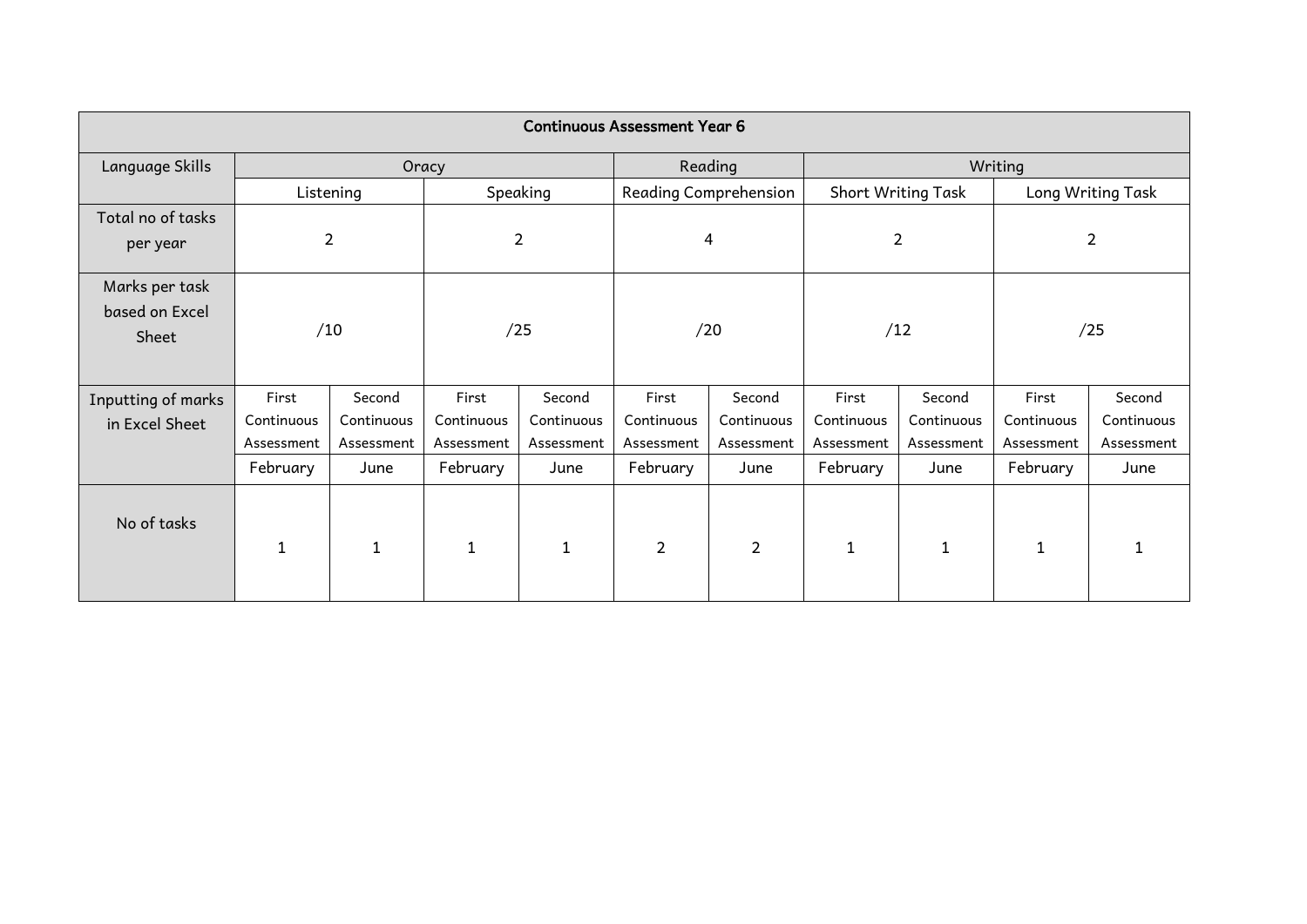| <b>Continuous Assessment Year 6</b>       |              |                |                |             |                |                       |            |                    |                   |            |  |  |
|-------------------------------------------|--------------|----------------|----------------|-------------|----------------|-----------------------|------------|--------------------|-------------------|------------|--|--|
| Language Skills                           |              |                | Oracy          |             |                | Reading               | Writing    |                    |                   |            |  |  |
|                                           |              | Listening      |                | Speaking    |                | Reading Comprehension |            | Short Writing Task | Long Writing Task |            |  |  |
| Total no of tasks<br>per year             |              | $\overline{2}$ | $\overline{2}$ |             |                | 4                     |            | $\overline{2}$     | $\overline{2}$    |            |  |  |
| Marks per task<br>based on Excel<br>Sheet | /10          |                |                | /25         |                | /20                   |            | /12                | /25               |            |  |  |
| Inputting of marks                        | First        | Second         | First          | Second      | First          | Second                | First      | Second             | First             | Second     |  |  |
| in Excel Sheet                            | Continuous   | Continuous     | Continuous     | Continuous  | Continuous     | Continuous            | Continuous | Continuous         | Continuous        | Continuous |  |  |
|                                           | Assessment   | Assessment     | Assessment     | Assessment  | Assessment     | Assessment            | Assessment | Assessment         | Assessment        | Assessment |  |  |
|                                           | February     | June           | February       | June        | February       | June                  | February   | June               | February          | June       |  |  |
| No of tasks                               | $\mathbf{1}$ |                | $\mathbf{1}$   | $\mathbf 1$ | $\overline{2}$ | $\overline{2}$        |            | $\mathbf{1}$       | $\mathbf 1$       |            |  |  |